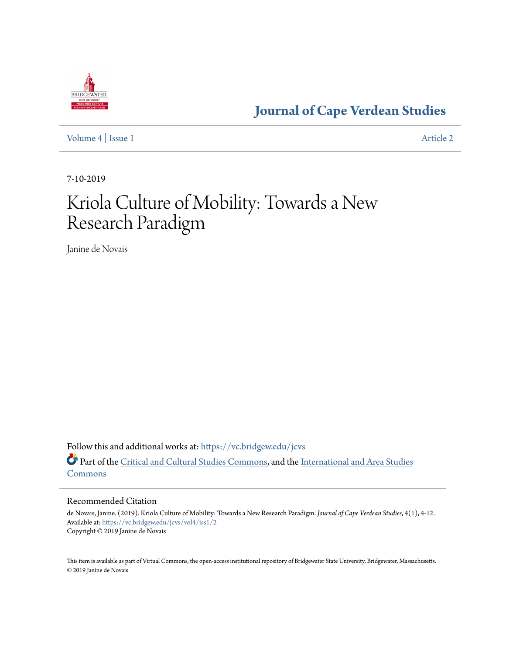

**[Journal of Cape Verdean Studies](https://vc.bridgew.edu/jcvs?utm_source=vc.bridgew.edu%2Fjcvs%2Fvol4%2Fiss1%2F2&utm_medium=PDF&utm_campaign=PDFCoverPages)**

[Volume 4](https://vc.bridgew.edu/jcvs/vol4?utm_source=vc.bridgew.edu%2Fjcvs%2Fvol4%2Fiss1%2F2&utm_medium=PDF&utm_campaign=PDFCoverPages) | [Issue 1](https://vc.bridgew.edu/jcvs/vol4/iss1?utm_source=vc.bridgew.edu%2Fjcvs%2Fvol4%2Fiss1%2F2&utm_medium=PDF&utm_campaign=PDFCoverPages) [Article 2](https://vc.bridgew.edu/jcvs/vol4/iss1/2?utm_source=vc.bridgew.edu%2Fjcvs%2Fvol4%2Fiss1%2F2&utm_medium=PDF&utm_campaign=PDFCoverPages)

7-10-2019

# Kriola Culture of Mobility: Towards a New Research Paradigm

Janine de Novais

Follow this and additional works at: [https://vc.bridgew.edu/jcvs](https://vc.bridgew.edu/jcvs?utm_source=vc.bridgew.edu%2Fjcvs%2Fvol4%2Fiss1%2F2&utm_medium=PDF&utm_campaign=PDFCoverPages) Part of the [Critical and Cultural Studies Commons](http://network.bepress.com/hgg/discipline/328?utm_source=vc.bridgew.edu%2Fjcvs%2Fvol4%2Fiss1%2F2&utm_medium=PDF&utm_campaign=PDFCoverPages), and the [International and Area Studies](http://network.bepress.com/hgg/discipline/360?utm_source=vc.bridgew.edu%2Fjcvs%2Fvol4%2Fiss1%2F2&utm_medium=PDF&utm_campaign=PDFCoverPages) [Commons](http://network.bepress.com/hgg/discipline/360?utm_source=vc.bridgew.edu%2Fjcvs%2Fvol4%2Fiss1%2F2&utm_medium=PDF&utm_campaign=PDFCoverPages)

#### Recommended Citation

de Novais, Janine. (2019). Kriola Culture of Mobility: Towards a New Research Paradigm. *Journal of Cape Verdean Studies*, 4(1), 4-12. Available at: [https://vc.bridgew.edu/jcvs/vol4/iss1/2](https://vc.bridgew.edu/jcvs/vol4/iss1/2?utm_source=vc.bridgew.edu%2Fjcvs%2Fvol4%2Fiss1%2F2&utm_medium=PDF&utm_campaign=PDFCoverPages) Copyright © 2019 Janine de Novais

This item is available as part of Virtual Commons, the open-access institutional repository of Bridgewater State University, Bridgewater, Massachusetts. © 2019 Janine de Novais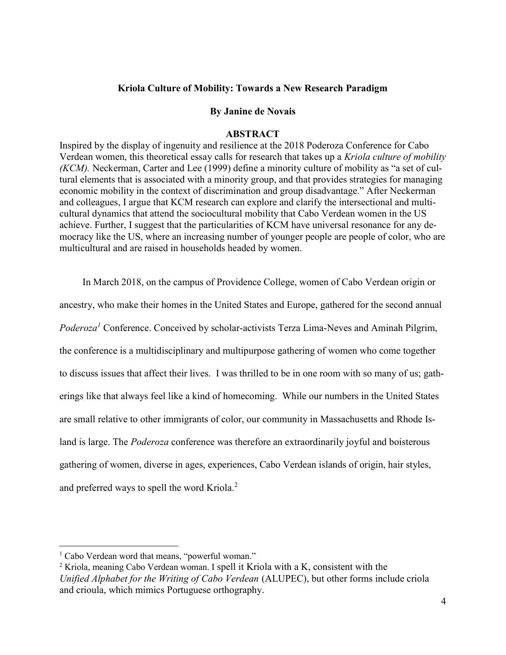# Kriola Culture of Mobility: Towards a New Research Paradigm

### By Janine de Novais

## **ABSTRACT**

Inspired by the display of ingenuity and resilience at the 2018 Poderoza Conference for Cabo Verdean women, this theoretical essay calls for research that takes up a Kriola culture of mobility (KCM). Neckerman, Carter and Lee (1999) define a minority culture of mobility as "a set of cultural elements that is associated with a minority group, and that provides strategies for managing economic mobility in the context of discrimination and group disadvantage." After Neckerman and colleagues, I argue that KCM research can explore and clarify the intersectional and multicultural dynamics that attend the sociocultural mobility that Cabo Verdean women in the US achieve. Further, I suggest that the particularities of KCM have universal resonance for any democracy like the US, where an increasing number of younger people are people of color, who are multicultural and are raised in households headed by women.

 In March 2018, on the campus of Providence College, women of Cabo Verdean origin or ancestry, who make their homes in the United States and Europe, gathered for the second annual *Poderoza*<sup>1</sup> Conference. Conceived by scholar-activists Terza Lima-Neves and Aminah Pilgrim, the conference is a multidisciplinary and multipurpose gathering of women who come together to discuss issues that affect their lives. I was thrilled to be in one room with so many of us; gatherings like that always feel like a kind of homecoming. While our numbers in the United States are small relative to other immigrants of color, our community in Massachusetts and Rhode Island is large. The *Poderoza* conference was therefore an extraordinarily joyful and boisterous gathering of women, diverse in ages, experiences, Cabo Verdean islands of origin, hair styles, and preferred ways to spell the word Kriola. $2$ 

 $\overline{a}$ 

<sup>&</sup>lt;sup>1</sup> Cabo Verdean word that means, "powerful woman."

<sup>&</sup>lt;sup>2</sup> Kriola, meaning Cabo Verdean woman. I spell it Kriola with a K, consistent with the Unified Alphabet for the Writing of Cabo Verdean (ALUPEC), but other forms include criola and crioula, which mimics Portuguese orthography.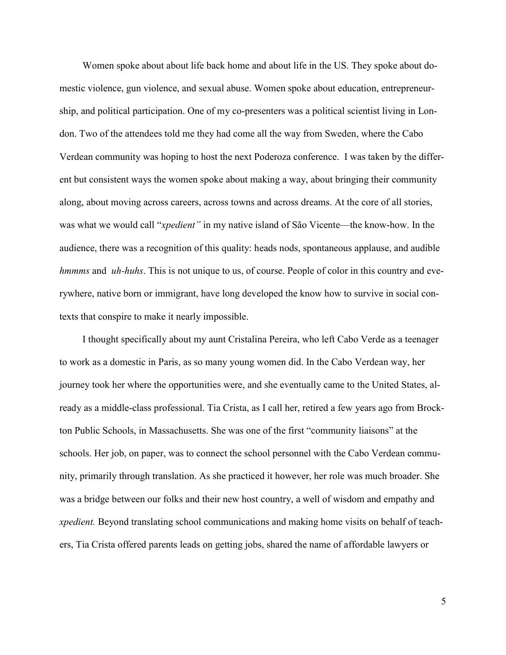Women spoke about about life back home and about life in the US. They spoke about domestic violence, gun violence, and sexual abuse. Women spoke about education, entrepreneurship, and political participation. One of my co-presenters was a political scientist living in London. Two of the attendees told me they had come all the way from Sweden, where the Cabo Verdean community was hoping to host the next Poderoza conference. I was taken by the different but consistent ways the women spoke about making a way, about bringing their community along, about moving across careers, across towns and across dreams. At the core of all stories, was what we would call "xpedient" in my native island of São Vicente—the know-how. In the audience, there was a recognition of this quality: heads nods, spontaneous applause, and audible hmmms and uh-huhs. This is not unique to us, of course. People of color in this country and everywhere, native born or immigrant, have long developed the know how to survive in social contexts that conspire to make it nearly impossible.

 I thought specifically about my aunt Cristalina Pereira, who left Cabo Verde as a teenager to work as a domestic in Paris, as so many young women did. In the Cabo Verdean way, her journey took her where the opportunities were, and she eventually came to the United States, already as a middle-class professional. Tia Crista, as I call her, retired a few years ago from Brockton Public Schools, in Massachusetts. She was one of the first "community liaisons" at the schools. Her job, on paper, was to connect the school personnel with the Cabo Verdean community, primarily through translation. As she practiced it however, her role was much broader. She was a bridge between our folks and their new host country, a well of wisdom and empathy and *xpedient*. Beyond translating school communications and making home visits on behalf of teachers, Tia Crista offered parents leads on getting jobs, shared the name of affordable lawyers or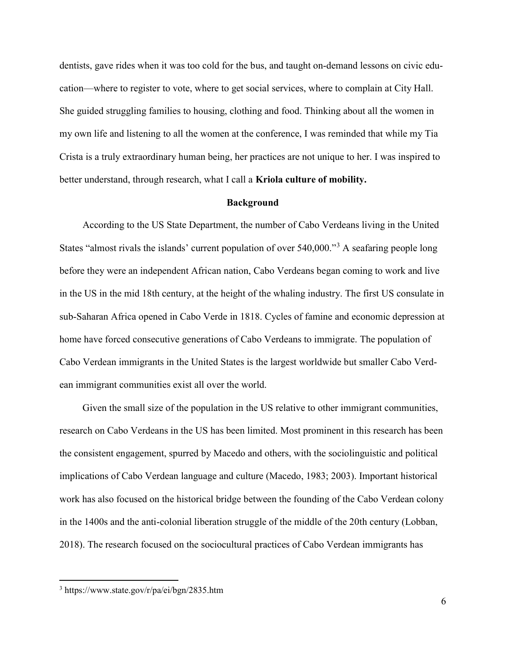dentists, gave rides when it was too cold for the bus, and taught on-demand lessons on civic education—where to register to vote, where to get social services, where to complain at City Hall. She guided struggling families to housing, clothing and food. Thinking about all the women in my own life and listening to all the women at the conference, I was reminded that while my Tia Crista is a truly extraordinary human being, her practices are not unique to her. I was inspired to better understand, through research, what I call a Kriola culture of mobility.

#### Background

According to the US State Department, the number of Cabo Verdeans living in the United States "almost rivals the islands' current population of over 540,000."<sup>3</sup> A seafaring people long before they were an independent African nation, Cabo Verdeans began coming to work and live in the US in the mid 18th century, at the height of the whaling industry. The first US consulate in sub-Saharan Africa opened in Cabo Verde in 1818. Cycles of famine and economic depression at home have forced consecutive generations of Cabo Verdeans to immigrate. The population of Cabo Verdean immigrants in the United States is the largest worldwide but smaller Cabo Verdean immigrant communities exist all over the world.

 Given the small size of the population in the US relative to other immigrant communities, research on Cabo Verdeans in the US has been limited. Most prominent in this research has been the consistent engagement, spurred by Macedo and others, with the sociolinguistic and political implications of Cabo Verdean language and culture (Macedo, 1983; 2003). Important historical work has also focused on the historical bridge between the founding of the Cabo Verdean colony in the 1400s and the anti-colonial liberation struggle of the middle of the 20th century (Lobban, 2018). The research focused on the sociocultural practices of Cabo Verdean immigrants has

 $\overline{a}$ 

<sup>3</sup> https://www.state.gov/r/pa/ei/bgn/2835.htm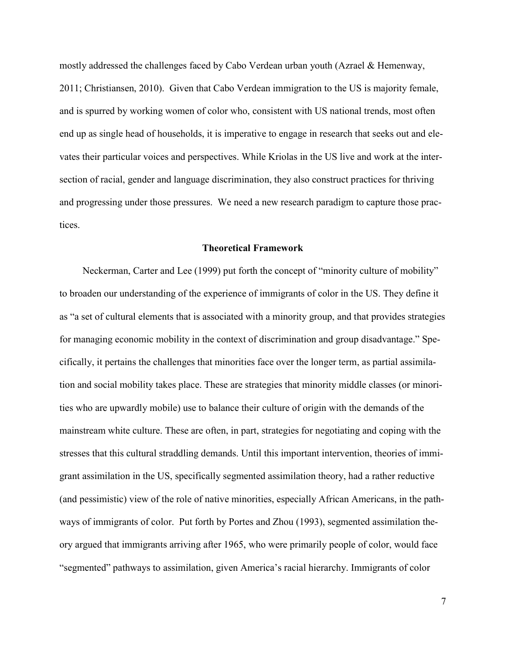mostly addressed the challenges faced by Cabo Verdean urban youth (Azrael & Hemenway, 2011; Christiansen, 2010). Given that Cabo Verdean immigration to the US is majority female, and is spurred by working women of color who, consistent with US national trends, most often end up as single head of households, it is imperative to engage in research that seeks out and elevates their particular voices and perspectives. While Kriolas in the US live and work at the intersection of racial, gender and language discrimination, they also construct practices for thriving and progressing under those pressures. We need a new research paradigm to capture those practices.

#### Theoretical Framework

Neckerman, Carter and Lee (1999) put forth the concept of "minority culture of mobility" to broaden our understanding of the experience of immigrants of color in the US. They define it as "a set of cultural elements that is associated with a minority group, and that provides strategies for managing economic mobility in the context of discrimination and group disadvantage." Specifically, it pertains the challenges that minorities face over the longer term, as partial assimilation and social mobility takes place. These are strategies that minority middle classes (or minorities who are upwardly mobile) use to balance their culture of origin with the demands of the mainstream white culture. These are often, in part, strategies for negotiating and coping with the stresses that this cultural straddling demands. Until this important intervention, theories of immigrant assimilation in the US, specifically segmented assimilation theory, had a rather reductive (and pessimistic) view of the role of native minorities, especially African Americans, in the pathways of immigrants of color. Put forth by Portes and Zhou (1993), segmented assimilation theory argued that immigrants arriving after 1965, who were primarily people of color, would face "segmented" pathways to assimilation, given America's racial hierarchy. Immigrants of color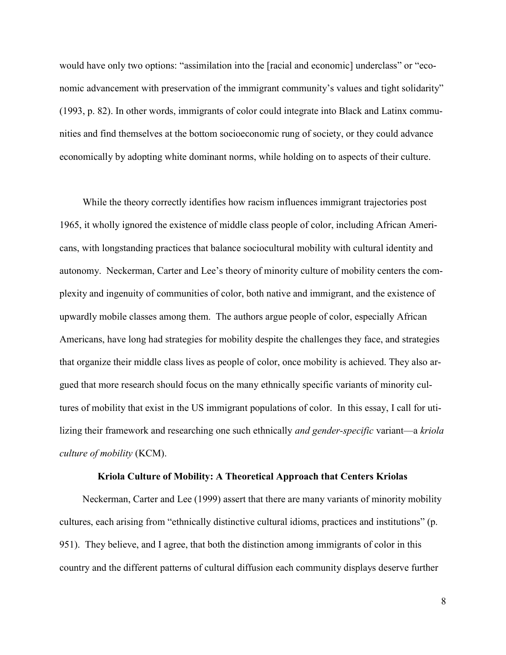would have only two options: "assimilation into the [racial and economic] underclass" or "economic advancement with preservation of the immigrant community's values and tight solidarity" (1993, p. 82). In other words, immigrants of color could integrate into Black and Latinx communities and find themselves at the bottom socioeconomic rung of society, or they could advance economically by adopting white dominant norms, while holding on to aspects of their culture.

While the theory correctly identifies how racism influences immigrant trajectories post 1965, it wholly ignored the existence of middle class people of color, including African Americans, with longstanding practices that balance sociocultural mobility with cultural identity and autonomy. Neckerman, Carter and Lee's theory of minority culture of mobility centers the complexity and ingenuity of communities of color, both native and immigrant, and the existence of upwardly mobile classes among them. The authors argue people of color, especially African Americans, have long had strategies for mobility despite the challenges they face, and strategies that organize their middle class lives as people of color, once mobility is achieved. They also argued that more research should focus on the many ethnically specific variants of minority cultures of mobility that exist in the US immigrant populations of color. In this essay, I call for utilizing their framework and researching one such ethnically *and gender-specific* variant—a kriola culture of mobility (KCM).

#### Kriola Culture of Mobility: A Theoretical Approach that Centers Kriolas

 Neckerman, Carter and Lee (1999) assert that there are many variants of minority mobility cultures, each arising from "ethnically distinctive cultural idioms, practices and institutions" (p. 951). They believe, and I agree, that both the distinction among immigrants of color in this country and the different patterns of cultural diffusion each community displays deserve further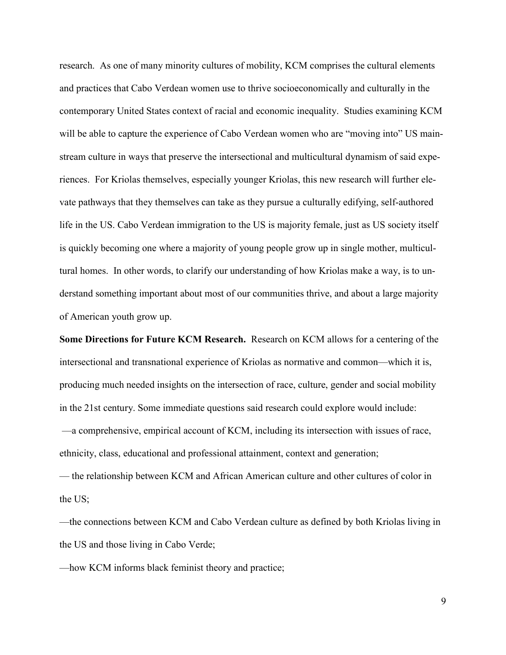research. As one of many minority cultures of mobility, KCM comprises the cultural elements and practices that Cabo Verdean women use to thrive socioeconomically and culturally in the contemporary United States context of racial and economic inequality. Studies examining KCM will be able to capture the experience of Cabo Verdean women who are "moving into" US mainstream culture in ways that preserve the intersectional and multicultural dynamism of said experiences. For Kriolas themselves, especially younger Kriolas, this new research will further elevate pathways that they themselves can take as they pursue a culturally edifying, self-authored life in the US. Cabo Verdean immigration to the US is majority female, just as US society itself is quickly becoming one where a majority of young people grow up in single mother, multicultural homes. In other words, to clarify our understanding of how Kriolas make a way, is to understand something important about most of our communities thrive, and about a large majority of American youth grow up.

Some Directions for Future KCM Research. Research on KCM allows for a centering of the intersectional and transnational experience of Kriolas as normative and common—which it is, producing much needed insights on the intersection of race, culture, gender and social mobility in the 21st century. Some immediate questions said research could explore would include: —a comprehensive, empirical account of KCM, including its intersection with issues of race, ethnicity, class, educational and professional attainment, context and generation;

— the relationship between KCM and African American culture and other cultures of color in the US;

—the connections between KCM and Cabo Verdean culture as defined by both Kriolas living in the US and those living in Cabo Verde;

—how KCM informs black feminist theory and practice;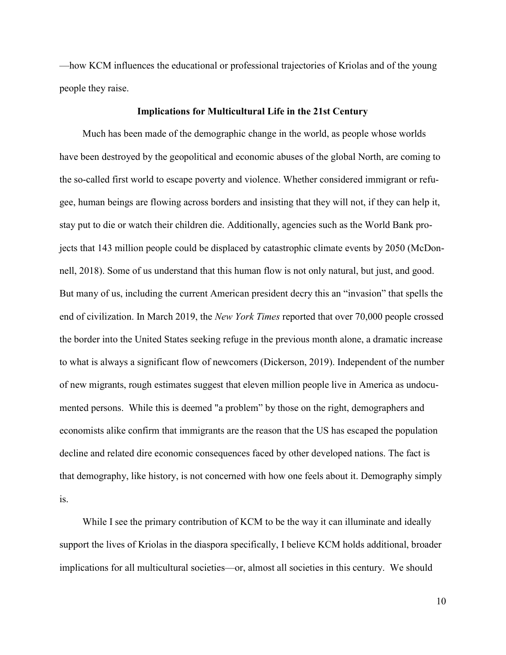—how KCM influences the educational or professional trajectories of Kriolas and of the young people they raise.

#### Implications for Multicultural Life in the 21st Century

 Much has been made of the demographic change in the world, as people whose worlds have been destroyed by the geopolitical and economic abuses of the global North, are coming to the so-called first world to escape poverty and violence. Whether considered immigrant or refugee, human beings are flowing across borders and insisting that they will not, if they can help it, stay put to die or watch their children die. Additionally, agencies such as the World Bank projects that 143 million people could be displaced by catastrophic climate events by 2050 (McDonnell, 2018). Some of us understand that this human flow is not only natural, but just, and good. But many of us, including the current American president decry this an "invasion" that spells the end of civilization. In March 2019, the *New York Times* reported that over 70,000 people crossed the border into the United States seeking refuge in the previous month alone, a dramatic increase to what is always a significant flow of newcomers (Dickerson, 2019). Independent of the number of new migrants, rough estimates suggest that eleven million people live in America as undocumented persons. While this is deemed "a problem" by those on the right, demographers and economists alike confirm that immigrants are the reason that the US has escaped the population decline and related dire economic consequences faced by other developed nations. The fact is that demography, like history, is not concerned with how one feels about it. Demography simply is.

While I see the primary contribution of KCM to be the way it can illuminate and ideally support the lives of Kriolas in the diaspora specifically, I believe KCM holds additional, broader implications for all multicultural societies—or, almost all societies in this century. We should

10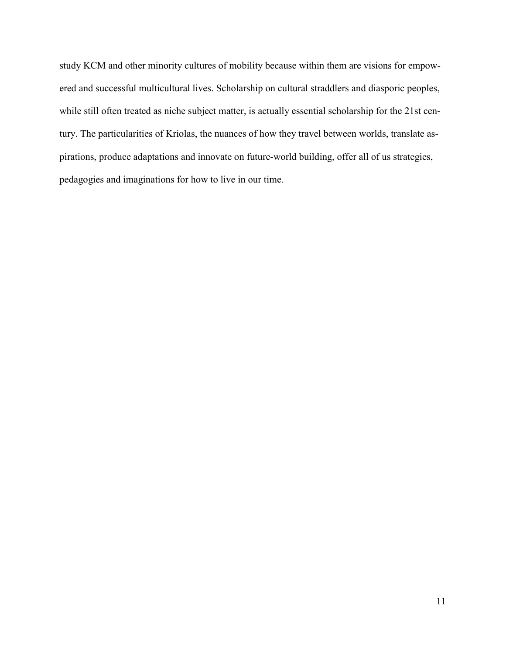study KCM and other minority cultures of mobility because within them are visions for empowered and successful multicultural lives. Scholarship on cultural straddlers and diasporic peoples, while still often treated as niche subject matter, is actually essential scholarship for the 21st century. The particularities of Kriolas, the nuances of how they travel between worlds, translate aspirations, produce adaptations and innovate on future-world building, offer all of us strategies, pedagogies and imaginations for how to live in our time.